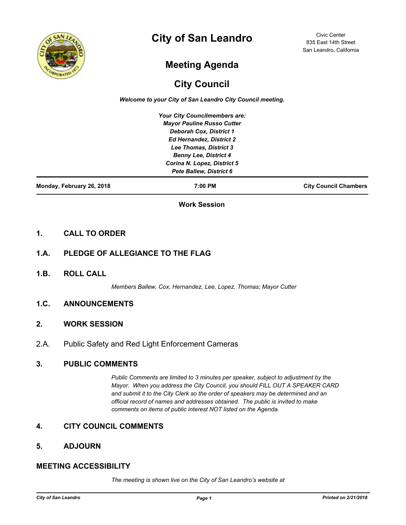

# **City of San Leandro**

Civic Center 835 East 14th Street San Leandro, California

# **Meeting Agenda**

## **City Council**

*Welcome to your City of San Leandro City Council meeting.*

*Your City Councilmembers are: Mayor Pauline Russo Cutter Deborah Cox, District 1 Ed Hernandez, District 2 Lee Thomas, District 3 Benny Lee, District 4 Corina N. Lopez, District 5 Pete Ballew, District 6*

**Monday, February 26, 2018 7:00 PM City Council Chambers**

**Work Session**

### **1. CALL TO ORDER**

## **1.A. PLEDGE OF ALLEGIANCE TO THE FLAG**

**1.B. ROLL CALL**

*Members Ballew, Cox, Hernandez, Lee, Lopez, Thomas; Mayor Cutter*

### **1.C. ANNOUNCEMENTS**

#### **2. WORK SESSION**

2.A. Public Safety and Red Light Enforcement Cameras

#### **3. PUBLIC COMMENTS**

*Public Comments are limited to 3 minutes per speaker, subject to adjustment by the Mayor. When you address the City Council, you should FILL OUT A SPEAKER CARD and submit it to the City Clerk so the order of speakers may be determined and an official record of names and addresses obtained. The public is invited to make comments on items of public interest NOT listed on the Agenda.*

## **4. CITY COUNCIL COMMENTS**

#### **5. ADJOURN**

## **MEETING ACCESSIBILITY**

*The meeting is shown live on the City of San Leandro's website at*